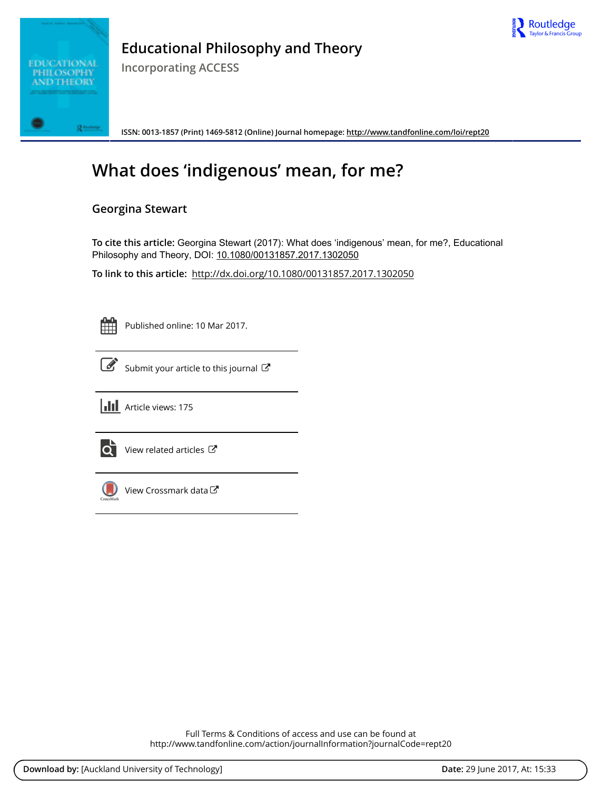



## **Educational Philosophy and Theory**

**Incorporating ACCESS**

**ISSN: 0013-1857 (Print) 1469-5812 (Online) Journal homepage:<http://www.tandfonline.com/loi/rept20>**

# **What does 'indigenous' mean, for me?**

### **Georgina Stewart**

**To cite this article:** Georgina Stewart (2017): What does 'indigenous' mean, for me?, Educational Philosophy and Theory, DOI: [10.1080/00131857.2017.1302050](http://www.tandfonline.com/action/showCitFormats?doi=10.1080/00131857.2017.1302050)

**To link to this article:** <http://dx.doi.org/10.1080/00131857.2017.1302050>

Published online: 10 Mar 2017.



 $\overline{\mathscr{L}}$  [Submit your article to this journal](http://www.tandfonline.com/action/authorSubmission?journalCode=rept20&show=instructions)  $\mathbb{Z}$ 





 $\overrightarrow{Q}$  [View related articles](http://www.tandfonline.com/doi/mlt/10.1080/00131857.2017.1302050)  $\overrightarrow{C}$ 



[View Crossmark data](http://crossmark.crossref.org/dialog/?doi=10.1080/00131857.2017.1302050&domain=pdf&date_stamp=2017-03-10)  $\sigma$ 

Full Terms & Conditions of access and use can be found at <http://www.tandfonline.com/action/journalInformation?journalCode=rept20>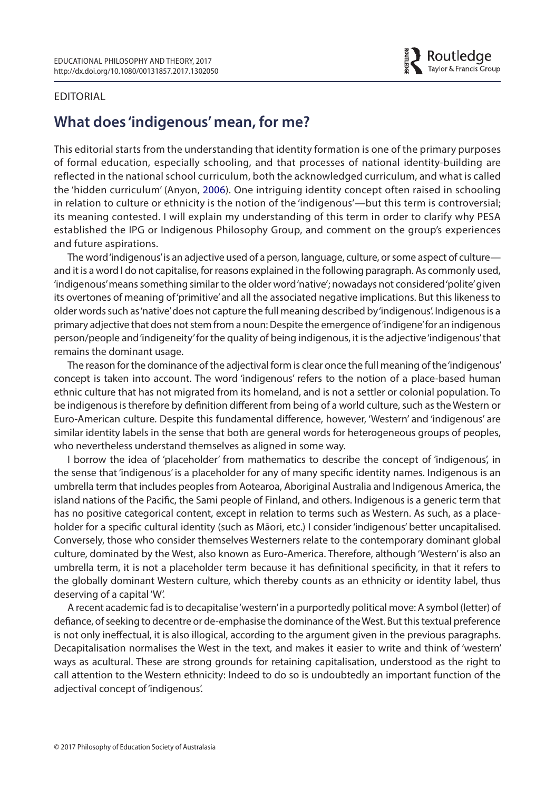<span id="page-1-0"></span>

### EDITORIAL

### **What does 'indigenous' mean, for me?**

This editorial starts from the understanding that identity formation is one of the primary purposes of formal education, especially schooling, and that processes of national identity-building are reflected in the national school curriculum, both the acknowledged curriculum, and what is called the 'hidden curriculum' (Anyon, [2006\)](#page-3-0). One intriguing identity concept often raised in schooling in relation to culture or ethnicity is the notion of the 'indigenous'—but this term is controversial; its meaning contested. I will explain my understanding of this term in order to clarify why PESA established the IPG or Indigenous Philosophy Group, and comment on the group's experiences and future aspirations.

The word 'indigenous' is an adjective used of a person, language, culture, or some aspect of culture and it is a word I do not capitalise, for reasons explained in the following paragraph. As commonly used, 'indigenous' means something similar to the older word 'native'; nowadays not considered 'polite' given its overtones of meaning of 'primitive' and all the associated negative implications. But this likeness to older words such as 'native' does not capture the full meaning described by 'indigenous'. Indigenous is a primary adjective that does not stem from a noun: Despite the emergence of 'indigene' for an indigenous person/people and 'indigeneity' for the quality of being indigenous, it is the adjective 'indigenous' that remains the dominant usage.

The reason for the dominance of the adjectival form is clear once the full meaning of the 'indigenous' concept is taken into account. The word 'indigenous' refers to the notion of a place-based human ethnic culture that has not migrated from its homeland, and is not a settler or colonial population. To be indigenous is therefore by definition different from being of a world culture, such as the Western or Euro-American culture. Despite this fundamental difference, however, 'Western' and 'indigenous' are similar identity labels in the sense that both are general words for heterogeneous groups of peoples, who nevertheless understand themselves as aligned in some way.

I borrow the idea of 'placeholder' from mathematics to describe the concept of 'indigenous', in the sense that 'indigenous' is a placeholder for any of many specific identity names. Indigenous is an umbrella term that includes peoples from Aotearoa, Aboriginal Australia and Indigenous America, the island nations of the Pacific, the Sami people of Finland, and others. Indigenous is a generic term that has no positive categorical content, except in relation to terms such as Western. As such, as a placeholder for a specific cultural identity (such as Māori, etc.) I consider 'indigenous' better uncapitalised. Conversely, those who consider themselves Westerners relate to the contemporary dominant global culture, dominated by the West, also known as Euro-America. Therefore, although 'Western' is also an umbrella term, it is not a placeholder term because it has definitional specificity, in that it refers to the globally dominant Western culture, which thereby counts as an ethnicity or identity label, thus deserving of a capital 'W'.

A recent academic fad is to decapitalise 'western' in a purportedly political move: A symbol (letter) of defiance, of seeking to decentre or de-emphasise the dominance of the West. But this textual preference is not only ineffectual, it is also illogical, according to the argument given in the previous paragraphs. Decapitalisation normalises the West in the text, and makes it easier to write and think of 'western' ways as acultural. These are strong grounds for retaining capitalisation, understood as the right to call attention to the Western ethnicity: Indeed to do so is undoubtedly an important function of the adjectival concept of 'indigenous'.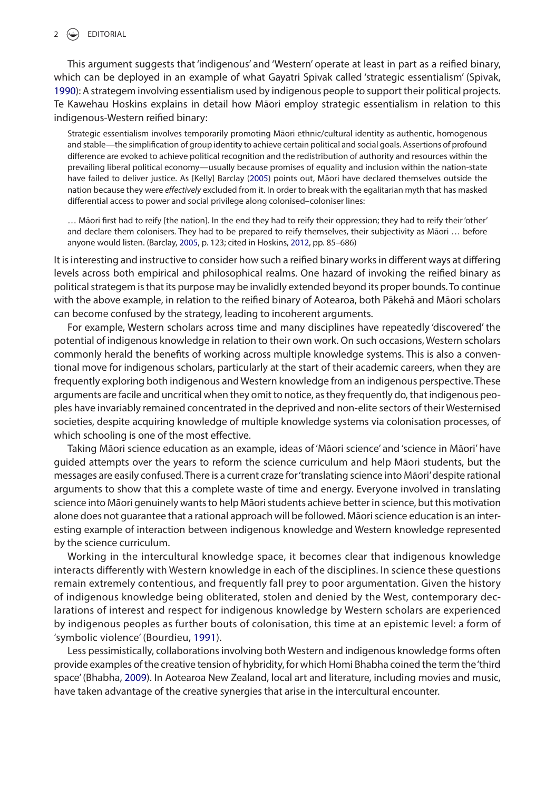### $2 \quad \Leftrightarrow \quad$  EDITORIAL

<span id="page-2-4"></span>This argument suggests that 'indigenous' and 'Western' operate at least in part as a reified binary, which can be deployed in an example of what Gayatri Spivak called 'strategic essentialism' (Spivak, [1990](#page-3-1)): A strategem involving essentialism used by indigenous people to support their political projects. Te Kawehau Hoskins explains in detail how Māori employ strategic essentialism in relation to this indigenous-Western reified binary:

<span id="page-2-0"></span>Strategic essentialism involves temporarily promoting Māori ethnic/cultural identity as authentic, homogenous and stable—the simplification of group identity to achieve certain political and social goals. Assertions of profound difference are evoked to achieve political recognition and the redistribution of authority and resources within the prevailing liberal political economy—usually because promises of equality and inclusion within the nation-state have failed to deliver justice. As [Kelly] Barclay [\(2005](#page-3-2)) points out, Māori have declared themselves outside the nation because they were *effectively* excluded from it. In order to break with the egalitarian myth that has masked differential access to power and social privilege along colonised–coloniser lines:

<span id="page-2-3"></span>… Māori first had to reify [the nation]. In the end they had to reify their oppression; they had to reify their 'other' and declare them colonisers. They had to be prepared to reify themselves, their subjectivity as Māori … before anyone would listen. (Barclay, [2005,](#page-3-2) p. 123; cited in Hoskins, [2012,](#page-3-3) pp. 85–686)

It is interesting and instructive to consider how such a reified binary works in different ways at differing levels across both empirical and philosophical realms. One hazard of invoking the reified binary as political strategem is that its purpose may be invalidly extended beyond its proper bounds. To continue with the above example, in relation to the reified binary of Aotearoa, both Pākehā and Māori scholars can become confused by the strategy, leading to incoherent arguments.

For example, Western scholars across time and many disciplines have repeatedly 'discovered' the potential of indigenous knowledge in relation to their own work. On such occasions, Western scholars commonly herald the benefits of working across multiple knowledge systems. This is also a conventional move for indigenous scholars, particularly at the start of their academic careers, when they are frequently exploring both indigenous and Western knowledge from an indigenous perspective. These arguments are facile and uncritical when they omit to notice, as they frequently do, that indigenous peoples have invariably remained concentrated in the deprived and non-elite sectors of their Westernised societies, despite acquiring knowledge of multiple knowledge systems via colonisation processes, of which schooling is one of the most effective.

Taking Māori science education as an example, ideas of 'Māori science' and 'science in Māori' have guided attempts over the years to reform the science curriculum and help Māori students, but the messages are easily confused. There is a current craze for 'translating science into Māori' despite rational arguments to show that this a complete waste of time and energy. Everyone involved in translating science into Māori genuinely wants to help Māori students achieve better in science, but this motivation alone does not guarantee that a rational approach will be followed. Māori science education is an interesting example of interaction between indigenous knowledge and Western knowledge represented by the science curriculum.

Working in the intercultural knowledge space, it becomes clear that indigenous knowledge interacts differently with Western knowledge in each of the disciplines. In science these questions remain extremely contentious, and frequently fall prey to poor argumentation. Given the history of indigenous knowledge being obliterated, stolen and denied by the West, contemporary declarations of interest and respect for indigenous knowledge by Western scholars are experienced by indigenous peoples as further bouts of colonisation, this time at an epistemic level: a form of 'symbolic violence' (Bourdieu, [1991](#page-3-4)).

<span id="page-2-2"></span><span id="page-2-1"></span>Less pessimistically, collaborations involving both Western and indigenous knowledge forms often provide examples of the creative tension of hybridity, for which Homi Bhabha coined the term the 'third space' (Bhabha, [2009](#page-3-5)). In Aotearoa New Zealand, local art and literature, including movies and music, have taken advantage of the creative synergies that arise in the intercultural encounter.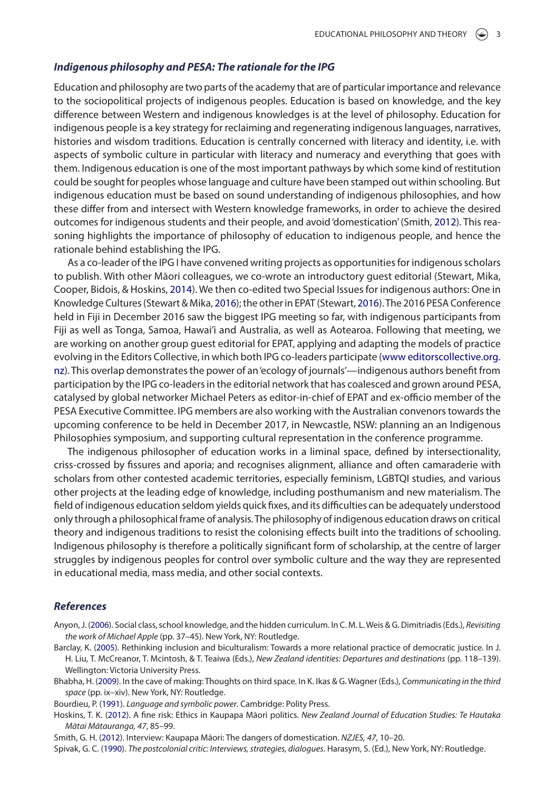### *Indigenous philosophy and PESA: The rationale for the IPG*

Education and philosophy are two parts of the academy that are of particular importance and relevance to the sociopolitical projects of indigenous peoples. Education is based on knowledge, and the key difference between Western and indigenous knowledges is at the level of philosophy. Education for indigenous people is a key strategy for reclaiming and regenerating indigenous languages, narratives, histories and wisdom traditions. Education is centrally concerned with literacy and identity, i.e. with aspects of symbolic culture in particular with literacy and numeracy and everything that goes with them. Indigenous education is one of the most important pathways by which some kind of restitution could be sought for peoples whose language and culture have been stamped out within schooling. But indigenous education must be based on sound understanding of indigenous philosophies, and how these differ from and intersect with Western knowledge frameworks, in order to achieve the desired outcomes for indigenous students and their people, and avoid 'domestication' (Smith, [2012\)](#page-3-6). This reasoning highlights the importance of philosophy of education to indigenous people, and hence the rationale behind establishing the IPG.

<span id="page-3-10"></span><span id="page-3-9"></span><span id="page-3-8"></span><span id="page-3-7"></span>As a co-leader of the IPG I have convened writing projects as opportunities for indigenous scholars to publish. With other Māori colleagues, we co-wrote an introductory guest editorial (Stewart, Mika, Cooper, Bidois, & Hoskins, [2014\)](#page-4-0). We then co-edited two Special Issues for indigenous authors: One in Knowledge Cultures (Stewart & Mika, [2016](#page-4-1)); the other in EPAT (Stewart, [2016](#page-4-2)). The 2016 PESA Conference held in Fiji in December 2016 saw the biggest IPG meeting so far, with indigenous participants from Fiji as well as Tonga, Samoa, Hawai'i and Australia, as well as Aotearoa. Following that meeting, we are working on another group guest editorial for EPAT, applying and adapting the models of practice evolving in the Editors Collective, in which both IPG co-leaders participate ([www editorscollective.org.](http://www.editorscollective.org.nz) [nz](http://www.editorscollective.org.nz)). This overlap demonstrates the power of an 'ecology of journals'—indigenous authors benefit from participation by the IPG co-leaders in the editorial network that has coalesced and grown around PESA, catalysed by global networker Michael Peters as editor-in-chief of EPAT and ex-officio member of the PESA Executive Committee. IPG members are also working with the Australian convenors towards the upcoming conference to be held in December 2017, in Newcastle, NSW: planning an an Indigenous Philosophies symposium, and supporting cultural representation in the conference programme.

The indigenous philosopher of education works in a liminal space, defined by intersectionality, criss-crossed by fissures and aporia; and recognises alignment, alliance and often camaraderie with scholars from other contested academic territories, especially feminism, LGBTQI studies, and various other projects at the leading edge of knowledge, including posthumanism and new materialism. The field of indigenous education seldom yields quick fixes, and its difficulties can be adequately understood only through a philosophical frame of analysis. The philosophy of indigenous education draws on critical theory and indigenous traditions to resist the colonising effects built into the traditions of schooling. Indigenous philosophy is therefore a politically significant form of scholarship, at the centre of larger struggles by indigenous peoples for control over symbolic culture and the way they are represented in educational media, mass media, and other social contexts.

### *References*

- <span id="page-3-0"></span>Anyon, J. ([2006\)](#page-1-0). Social class, school knowledge, and the hidden curriculum. In C. M. L. Weis & G. Dimitriadis (Eds.), *Revisiting the work of Michael Apple* (pp. 37–45). New York, NY: Routledge.
- <span id="page-3-2"></span>Barclay, K. ([2005](#page-2-0)). Rethinking inclusion and biculturalism: Towards a more relational practice of democratic justice. In J. H. Liu, T. McCreanor, T. Mcintosh, & T. Teaiwa (Eds.), *New Zealand identities: Departures and destinations* (pp. 118–139). Wellington: Victoria University Press.
- <span id="page-3-5"></span>Bhabha, H. [\(2009\)](#page-2-1). In the cave of making: Thoughts on third space. In K. Ikas & G. Wagner (Eds.), *Communicating in the third space* (pp. ix–xiv). New York, NY: Routledge.
- <span id="page-3-4"></span>Bourdieu, P. ([1991\)](#page-2-2). *Language and symbolic power*. Cambridge: Polity Press.
- <span id="page-3-3"></span>Hoskins, T. K. ([2012](#page-2-3)). A fine risk: Ethics in Kaupapa Māori politics. *New Zealand Journal of Education Studies: Te Hautaka Mātai Mātauranga, 47*, 85–99.

<span id="page-3-6"></span>Smith, G. H. [\(2012\)](#page-3-7). Interview: Kaupapa Māori: The dangers of domestication. *NZJES, 47*, 10–20.

<span id="page-3-1"></span>Spivak, G. C. [\(1990](#page-2-4)). *The postcolonial critic: Interviews, strategies, dialogues*. Harasym, S. (Ed.), New York, NY: Routledge.